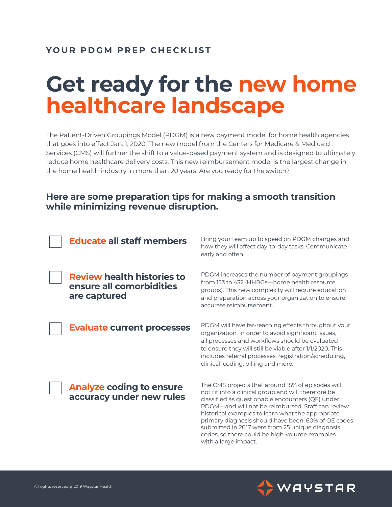### **YOUR PDGM PREP CHECKLIST**

# **Get ready for the new home healthcare landscape**

The Patient-Driven Groupings Model (PDGM) is a new payment model for home health agencies that goes into effect Jan. 1, 2020. The new model from the Centers for Medicare & Medicaid Services (CMS) will further the shift to a value-based payment system and is designed to ultimately reduce home healthcare delivery costs. This new reimbursement model is the largest change in the home health industry in more than 20 years. Are you ready for the switch?

### **Here are some preparation tips for making a smooth transition while minimizing revenue disruption.**



**Review health histories to ensure all comorbidities are captured**

**Evaluate current processes** 

Bring your team up to speed on PDGM changes and how they will affect day-to-day tasks. Communicate early and often.

PDGM increases the number of payment groupings from 153 to 432 (HHRGs—home health resource groups). This new complexity will require education and preparation across your organization to ensure accurate reimbursement.

PDGM will have far-reaching effects throughout your organization. In order to avoid significant issues, all processes and workflows should be evaluated to ensure they will still be viable after 1/1/2020. This includes referral processes, registration/scheduling, clinical, coding, billing and more.

**Analyze coding to ensure accuracy under new rules**

The CMS projects that around 15% of episodes will not fit into a clinical group and will therefore be classified as questionable encounters (QE) under PDGM—and will not be reimbursed. Staff can review historical examples to learn what the appropriate primary diagnosis should have been. 60% of QE codes submitted in 2017 were from 25 unique diagnosis codes, so there could be high-volume examples with a large impact.